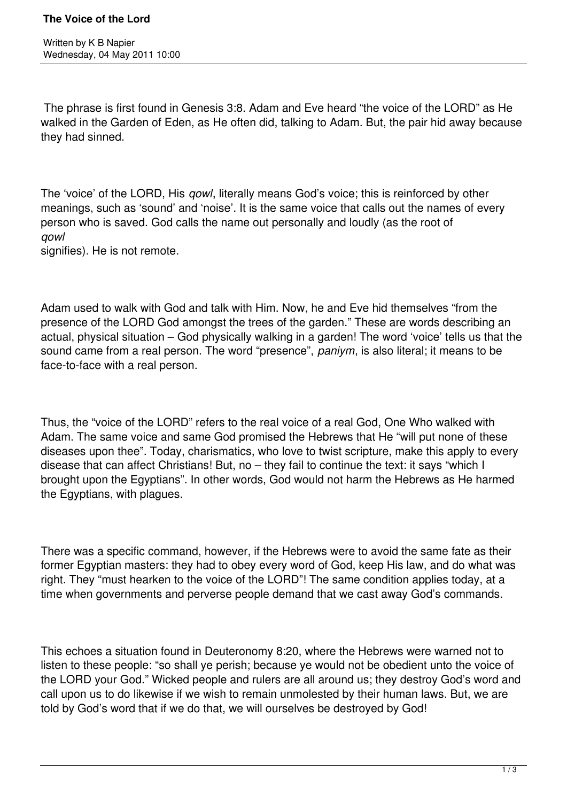The phrase is first found in Genesis 3:8. Adam and Eve heard "the voice of the LORD" as He walked in the Garden of Eden, as He often did, talking to Adam. But, the pair hid away because they had sinned.

The 'voice' of the LORD, His *qowl*, literally means God's voice; this is reinforced by other meanings, such as 'sound' and 'noise'. It is the same voice that calls out the names of every person who is saved. God calls the name out personally and loudly (as the root of *qowl*

signifies). He is not remote.

Adam used to walk with God and talk with Him. Now, he and Eve hid themselves "from the presence of the LORD God amongst the trees of the garden." These are words describing an actual, physical situation – God physically walking in a garden! The word 'voice' tells us that the sound came from a real person. The word "presence", *paniym*, is also literal; it means to be face-to-face with a real person.

Thus, the "voice of the LORD" refers to the real voice of a real God, One Who walked with Adam. The same voice and same God promised the Hebrews that He "will put none of these diseases upon thee". Today, charismatics, who love to twist scripture, make this apply to every disease that can affect Christians! But, no – they fail to continue the text: it says "which I brought upon the Egyptians". In other words, God would not harm the Hebrews as He harmed the Egyptians, with plagues.

There was a specific command, however, if the Hebrews were to avoid the same fate as their former Egyptian masters: they had to obey every word of God, keep His law, and do what was right. They "must hearken to the voice of the LORD"! The same condition applies today, at a time when governments and perverse people demand that we cast away God's commands.

This echoes a situation found in Deuteronomy 8:20, where the Hebrews were warned not to listen to these people: "so shall ye perish; because ye would not be obedient unto the voice of the LORD your God." Wicked people and rulers are all around us; they destroy God's word and call upon us to do likewise if we wish to remain unmolested by their human laws. But, we are told by God's word that if we do that, we will ourselves be destroyed by God!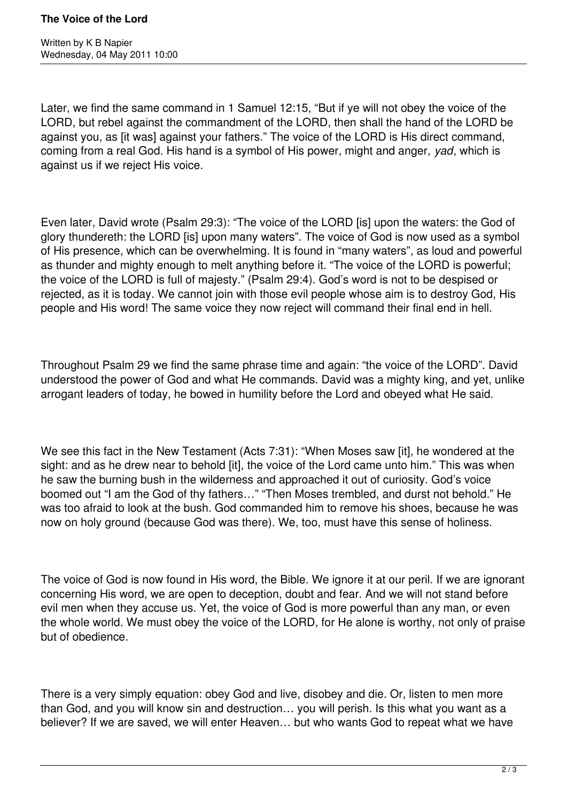Later, we find the same command in 1 Samuel 12:15, "But if ye will not obey the voice of the LORD, but rebel against the commandment of the LORD, then shall the hand of the LORD be against you, as [it was] against your fathers." The voice of the LORD is His direct command, coming from a real God. His hand is a symbol of His power, might and anger, *yad*, which is against us if we reject His voice.

Even later, David wrote (Psalm 29:3): "The voice of the LORD [is] upon the waters: the God of glory thundereth: the LORD [is] upon many waters". The voice of God is now used as a symbol of His presence, which can be overwhelming. It is found in "many waters", as loud and powerful as thunder and mighty enough to melt anything before it. "The voice of the LORD is powerful; the voice of the LORD is full of majesty." (Psalm 29:4). God's word is not to be despised or rejected, as it is today. We cannot join with those evil people whose aim is to destroy God, His people and His word! The same voice they now reject will command their final end in hell.

Throughout Psalm 29 we find the same phrase time and again: "the voice of the LORD". David understood the power of God and what He commands. David was a mighty king, and yet, unlike arrogant leaders of today, he bowed in humility before the Lord and obeyed what He said.

We see this fact in the New Testament (Acts 7:31): "When Moses saw [it], he wondered at the sight: and as he drew near to behold [it], the voice of the Lord came unto him." This was when he saw the burning bush in the wilderness and approached it out of curiosity. God's voice boomed out "I am the God of thy fathers…" "Then Moses trembled, and durst not behold." He was too afraid to look at the bush. God commanded him to remove his shoes, because he was now on holy ground (because God was there). We, too, must have this sense of holiness.

The voice of God is now found in His word, the Bible. We ignore it at our peril. If we are ignorant concerning His word, we are open to deception, doubt and fear. And we will not stand before evil men when they accuse us. Yet, the voice of God is more powerful than any man, or even the whole world. We must obey the voice of the LORD, for He alone is worthy, not only of praise but of obedience.

There is a very simply equation: obey God and live, disobey and die. Or, listen to men more than God, and you will know sin and destruction… you will perish. Is this what you want as a believer? If we are saved, we will enter Heaven… but who wants God to repeat what we have